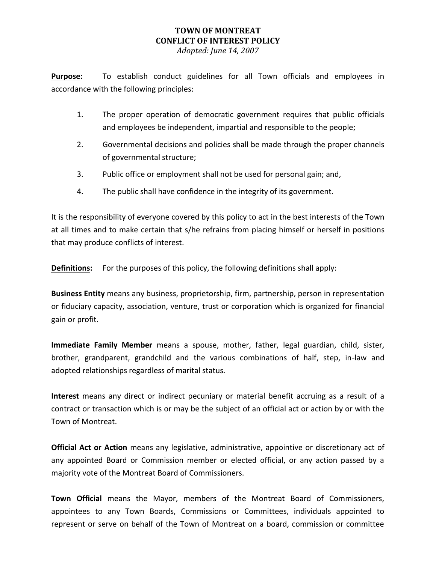## **TOWN OF MONTREAT CONFLICT OF INTEREST POLICY**

*Adopted: June 14, 2007*

**Purpose:** To establish conduct guidelines for all Town officials and employees in accordance with the following principles:

- 1. The proper operation of democratic government requires that public officials and employees be independent, impartial and responsible to the people;
- 2. Governmental decisions and policies shall be made through the proper channels of governmental structure;
- 3. Public office or employment shall not be used for personal gain; and,
- 4. The public shall have confidence in the integrity of its government.

It is the responsibility of everyone covered by this policy to act in the best interests of the Town at all times and to make certain that s/he refrains from placing himself or herself in positions that may produce conflicts of interest.

**Definitions:** For the purposes of this policy, the following definitions shall apply:

**Business Entity** means any business, proprietorship, firm, partnership, person in representation or fiduciary capacity, association, venture, trust or corporation which is organized for financial gain or profit.

**Immediate Family Member** means a spouse, mother, father, legal guardian, child, sister, brother, grandparent, grandchild and the various combinations of half, step, in-law and adopted relationships regardless of marital status.

**Interest** means any direct or indirect pecuniary or material benefit accruing as a result of a contract or transaction which is or may be the subject of an official act or action by or with the Town of Montreat.

**Official Act or Action** means any legislative, administrative, appointive or discretionary act of any appointed Board or Commission member or elected official, or any action passed by a majority vote of the Montreat Board of Commissioners.

**Town Official** means the Mayor, members of the Montreat Board of Commissioners, appointees to any Town Boards, Commissions or Committees, individuals appointed to represent or serve on behalf of the Town of Montreat on a board, commission or committee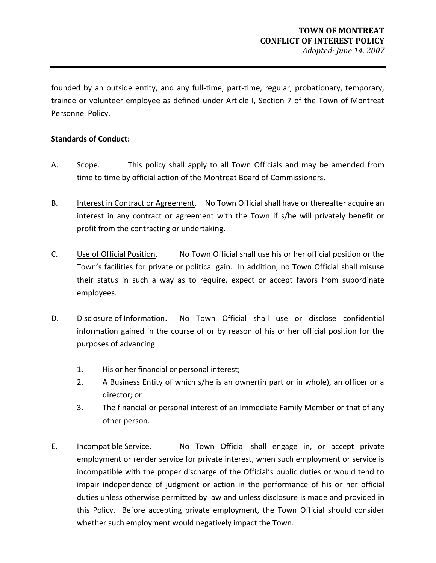founded by an outside entity, and any full-time, part-time, regular, probationary, temporary, trainee or volunteer employee as defined under Article I, Section 7 of the Town of Montreat Personnel Policy.

## **Standards of Conduct:**

- A. Scope. This policy shall apply to all Town Officials and may be amended from time to time by official action of the Montreat Board of Commissioners.
- B. Interest in Contract or Agreement. No Town Official shall have or thereafter acquire an interest in any contract or agreement with the Town if s/he will privately benefit or profit from the contracting or undertaking.
- C. Use of Official Position. No Town Official shall use his or her official position or the Town's facilities for private or political gain. In addition, no Town Official shall misuse their status in such a way as to require, expect or accept favors from subordinate employees.
- D. Disclosure of Information. No Town Official shall use or disclose confidential information gained in the course of or by reason of his or her official position for the purposes of advancing:
	- 1. His or her financial or personal interest;
	- 2. A Business Entity of which s/he is an owner(in part or in whole), an officer or a director; or
	- 3. The financial or personal interest of an Immediate Family Member or that of any other person.
- E. Incompatible Service. No Town Official shall engage in, or accept private employment or render service for private interest, when such employment or service is incompatible with the proper discharge of the Official's public duties or would tend to impair independence of judgment or action in the performance of his or her official duties unless otherwise permitted by law and unless disclosure is made and provided in this Policy. Before accepting private employment, the Town Official should consider whether such employment would negatively impact the Town.